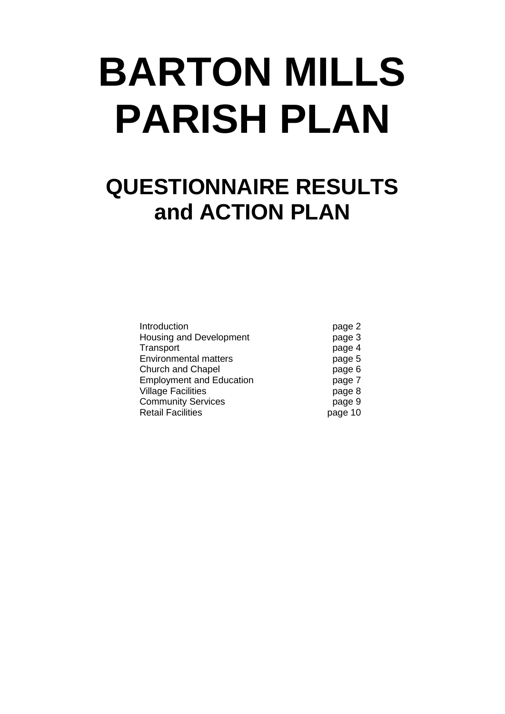# **BARTON MILLS PARISH PLAN**

# **QUESTIONNAIRE RESULTS and ACTION PLAN**

| Introduction                    | page 2  |
|---------------------------------|---------|
| Housing and Development         | page 3  |
| Transport                       | page 4  |
| <b>Environmental matters</b>    | page 5  |
| Church and Chapel               | page 6  |
| <b>Employment and Education</b> | page 7  |
| <b>Village Facilities</b>       | page 8  |
| <b>Community Services</b>       | page 9  |
| <b>Retail Facilities</b>        | page 10 |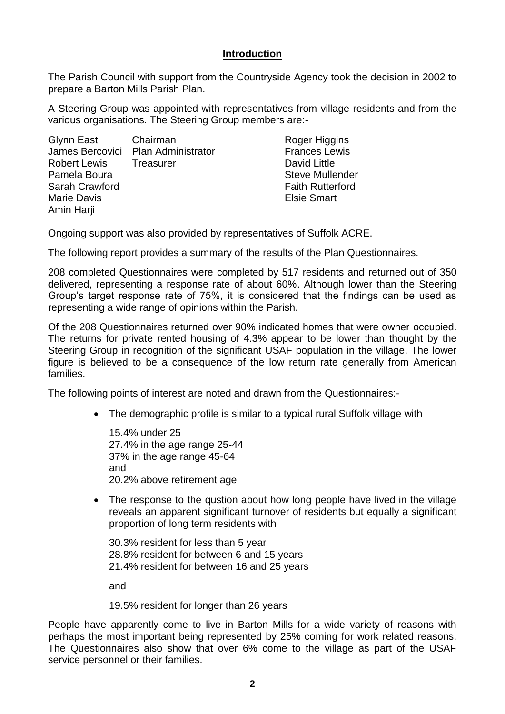#### **Introduction**

The Parish Council with support from the Countryside Agency took the decision in 2002 to prepare a Barton Mills Parish Plan.

A Steering Group was appointed with representatives from village residents and from the various organisations. The Steering Group members are:-

| Glynn East Chairman |                                    | Roger Higgins           |
|---------------------|------------------------------------|-------------------------|
|                     | James Bercovici Plan Administrator | <b>Frances Lewis</b>    |
| <b>Robert Lewis</b> | Treasurer                          | David Little            |
| Pamela Boura        |                                    | <b>Steve Mullender</b>  |
| Sarah Crawford      |                                    | <b>Faith Rutterford</b> |
| <b>Marie Davis</b>  |                                    | <b>Elsie Smart</b>      |
| Amin Harji          |                                    |                         |

Ongoing support was also provided by representatives of Suffolk ACRE.

The following report provides a summary of the results of the Plan Questionnaires.

208 completed Questionnaires were completed by 517 residents and returned out of 350 delivered, representing a response rate of about 60%. Although lower than the Steering Group's target response rate of 75%, it is considered that the findings can be used as representing a wide range of opinions within the Parish.

Of the 208 Questionnaires returned over 90% indicated homes that were owner occupied. The returns for private rented housing of 4.3% appear to be lower than thought by the Steering Group in recognition of the significant USAF population in the village. The lower figure is believed to be a consequence of the low return rate generally from American families.

The following points of interest are noted and drawn from the Questionnaires:-

• The demographic profile is similar to a typical rural Suffolk village with

15.4% under 25 27.4% in the age range 25-44 37% in the age range 45-64 and 20.2% above retirement age

• The response to the qustion about how long people have lived in the village reveals an apparent significant turnover of residents but equally a significant proportion of long term residents with

30.3% resident for less than 5 year 28.8% resident for between 6 and 15 years 21.4% resident for between 16 and 25 years

and

19.5% resident for longer than 26 years

People have apparently come to live in Barton Mills for a wide variety of reasons with perhaps the most important being represented by 25% coming for work related reasons. The Questionnaires also show that over 6% come to the village as part of the USAF service personnel or their families.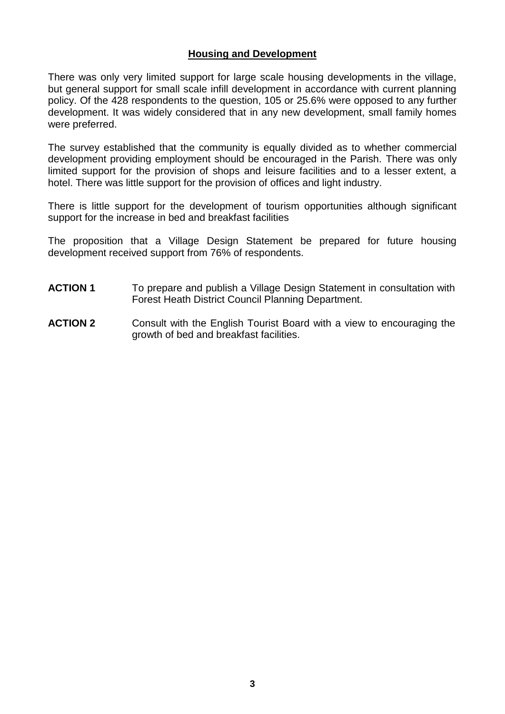## **Housing and Development**

There was only very limited support for large scale housing developments in the village, but general support for small scale infill development in accordance with current planning policy. Of the 428 respondents to the question, 105 or 25.6% were opposed to any further development. It was widely considered that in any new development, small family homes were preferred.

The survey established that the community is equally divided as to whether commercial development providing employment should be encouraged in the Parish. There was only limited support for the provision of shops and leisure facilities and to a lesser extent, a hotel. There was little support for the provision of offices and light industry.

There is little support for the development of tourism opportunities although significant support for the increase in bed and breakfast facilities

The proposition that a Village Design Statement be prepared for future housing development received support from 76% of respondents.

- **ACTION 1** To prepare and publish a Village Design Statement in consultation with Forest Heath District Council Planning Department.
- **ACTION 2** Consult with the English Tourist Board with a view to encouraging the growth of bed and breakfast facilities.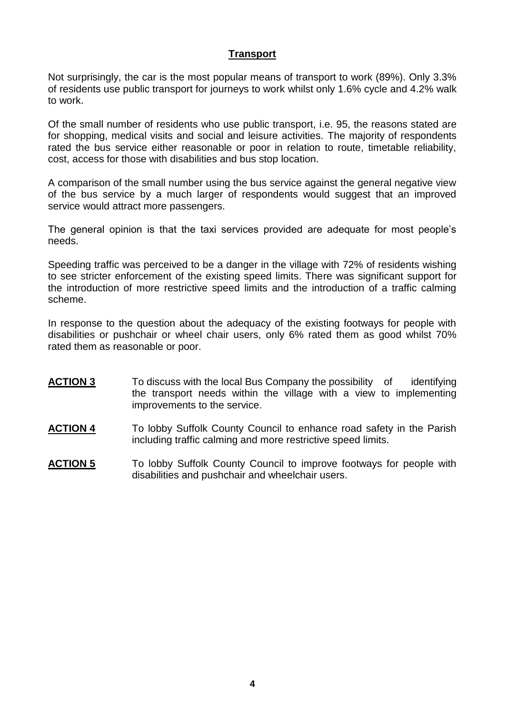# **Transport**

Not surprisingly, the car is the most popular means of transport to work (89%). Only 3.3% of residents use public transport for journeys to work whilst only 1.6% cycle and 4.2% walk to work.

Of the small number of residents who use public transport, i.e. 95, the reasons stated are for shopping, medical visits and social and leisure activities. The majority of respondents rated the bus service either reasonable or poor in relation to route, timetable reliability, cost, access for those with disabilities and bus stop location.

A comparison of the small number using the bus service against the general negative view of the bus service by a much larger of respondents would suggest that an improved service would attract more passengers.

The general opinion is that the taxi services provided are adequate for most people's needs.

Speeding traffic was perceived to be a danger in the village with 72% of residents wishing to see stricter enforcement of the existing speed limits. There was significant support for the introduction of more restrictive speed limits and the introduction of a traffic calming scheme.

In response to the question about the adequacy of the existing footways for people with disabilities or pushchair or wheel chair users, only 6% rated them as good whilst 70% rated them as reasonable or poor.

- **ACTION 3** To discuss with the local Bus Company the possibility of identifying the transport needs within the village with a view to implementing improvements to the service.
- **ACTION 4** To lobby Suffolk County Council to enhance road safety in the Parish including traffic calming and more restrictive speed limits.
- **ACTION 5** To lobby Suffolk County Council to improve footways for people with disabilities and pushchair and wheelchair users.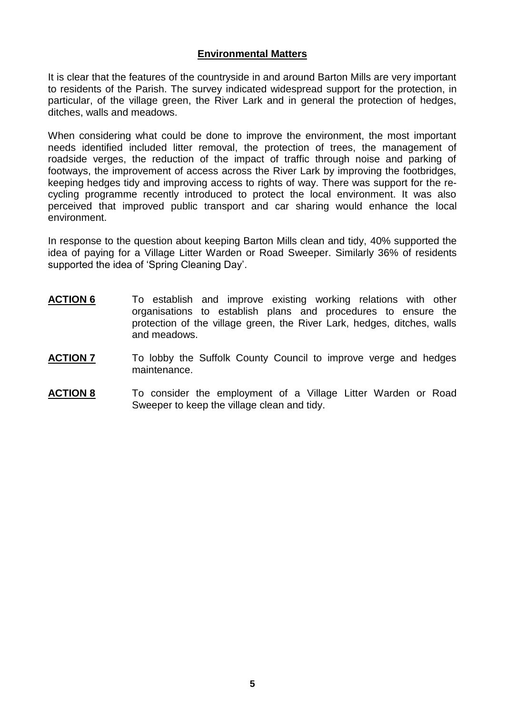#### **Environmental Matters**

It is clear that the features of the countryside in and around Barton Mills are very important to residents of the Parish. The survey indicated widespread support for the protection, in particular, of the village green, the River Lark and in general the protection of hedges, ditches, walls and meadows.

When considering what could be done to improve the environment, the most important needs identified included litter removal, the protection of trees, the management of roadside verges, the reduction of the impact of traffic through noise and parking of footways, the improvement of access across the River Lark by improving the footbridges, keeping hedges tidy and improving access to rights of way. There was support for the recycling programme recently introduced to protect the local environment. It was also perceived that improved public transport and car sharing would enhance the local environment.

In response to the question about keeping Barton Mills clean and tidy, 40% supported the idea of paying for a Village Litter Warden or Road Sweeper. Similarly 36% of residents supported the idea of 'Spring Cleaning Day'.

- **ACTION 6** To establish and improve existing working relations with other organisations to establish plans and procedures to ensure the protection of the village green, the River Lark, hedges, ditches, walls and meadows.
- **ACTION 7** To lobby the Suffolk County Council to improve verge and hedges maintenance.
- **ACTION 8** To consider the employment of a Village Litter Warden or Road Sweeper to keep the village clean and tidy.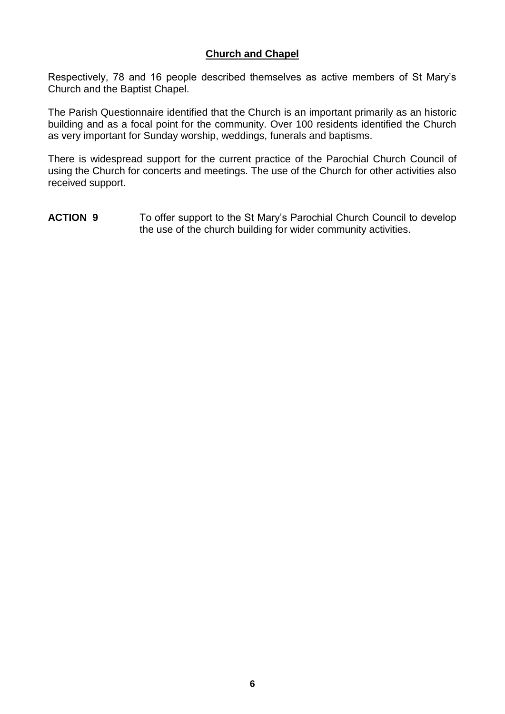# **Church and Chapel**

Respectively, 78 and 16 people described themselves as active members of St Mary's Church and the Baptist Chapel.

The Parish Questionnaire identified that the Church is an important primarily as an historic building and as a focal point for the community. Over 100 residents identified the Church as very important for Sunday worship, weddings, funerals and baptisms.

There is widespread support for the current practice of the Parochial Church Council of using the Church for concerts and meetings. The use of the Church for other activities also received support.

**ACTION 9** To offer support to the St Mary's Parochial Church Council to develop the use of the church building for wider community activities.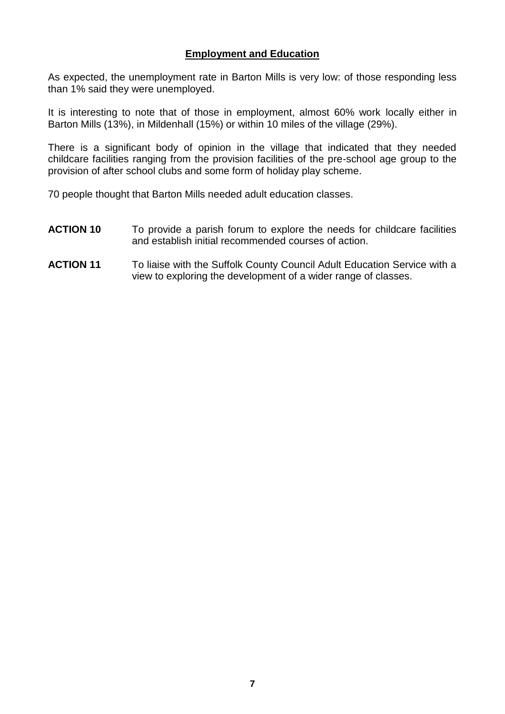# **Employment and Education**

As expected, the unemployment rate in Barton Mills is very low: of those responding less than 1% said they were unemployed.

It is interesting to note that of those in employment, almost 60% work locally either in Barton Mills (13%), in Mildenhall (15%) or within 10 miles of the village (29%).

There is a significant body of opinion in the village that indicated that they needed childcare facilities ranging from the provision facilities of the pre-school age group to the provision of after school clubs and some form of holiday play scheme.

70 people thought that Barton Mills needed adult education classes.

- **ACTION 10** To provide a parish forum to explore the needs for childcare facilities and establish initial recommended courses of action.
- **ACTION 11** To liaise with the Suffolk County Council Adult Education Service with a view to exploring the development of a wider range of classes.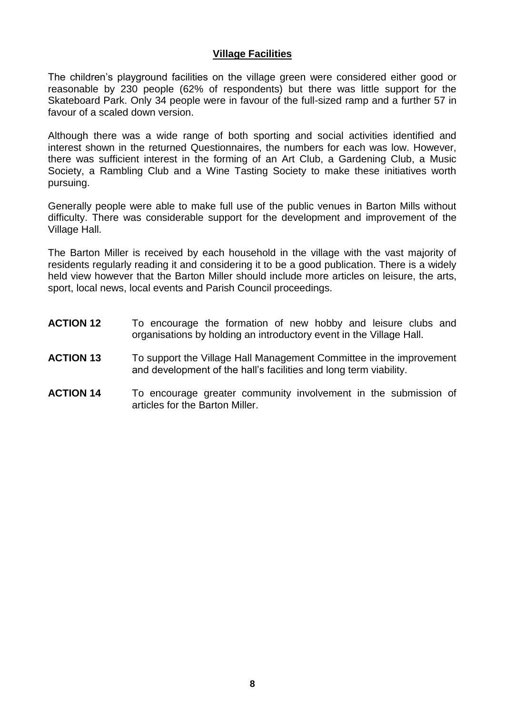#### **Village Facilities**

The children's playground facilities on the village green were considered either good or reasonable by 230 people (62% of respondents) but there was little support for the Skateboard Park. Only 34 people were in favour of the full-sized ramp and a further 57 in favour of a scaled down version.

Although there was a wide range of both sporting and social activities identified and interest shown in the returned Questionnaires, the numbers for each was low. However, there was sufficient interest in the forming of an Art Club, a Gardening Club, a Music Society, a Rambling Club and a Wine Tasting Society to make these initiatives worth pursuing.

Generally people were able to make full use of the public venues in Barton Mills without difficulty. There was considerable support for the development and improvement of the Village Hall.

The Barton Miller is received by each household in the village with the vast majority of residents regularly reading it and considering it to be a good publication. There is a widely held view however that the Barton Miller should include more articles on leisure, the arts, sport, local news, local events and Parish Council proceedings.

- **ACTION 12** To encourage the formation of new hobby and leisure clubs and organisations by holding an introductory event in the Village Hall.
- **ACTION 13** To support the Village Hall Management Committee in the improvement and development of the hall's facilities and long term viability.
- **ACTION 14** To encourage greater community involvement in the submission of articles for the Barton Miller.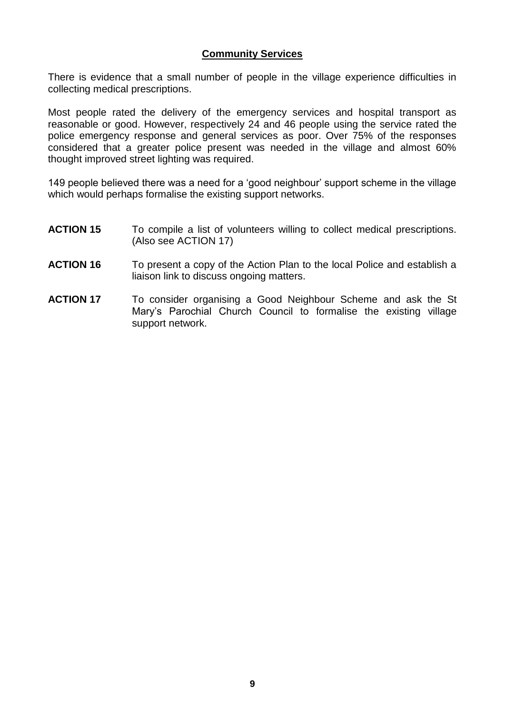## **Community Services**

There is evidence that a small number of people in the village experience difficulties in collecting medical prescriptions.

Most people rated the delivery of the emergency services and hospital transport as reasonable or good. However, respectively 24 and 46 people using the service rated the police emergency response and general services as poor. Over 75% of the responses considered that a greater police present was needed in the village and almost 60% thought improved street lighting was required.

149 people believed there was a need for a 'good neighbour' support scheme in the village which would perhaps formalise the existing support networks.

- **ACTION 15** To compile a list of volunteers willing to collect medical prescriptions. (Also see ACTION 17)
- **ACTION 16** To present a copy of the Action Plan to the local Police and establish a liaison link to discuss ongoing matters.
- **ACTION 17** To consider organising a Good Neighbour Scheme and ask the St Mary's Parochial Church Council to formalise the existing village support network.